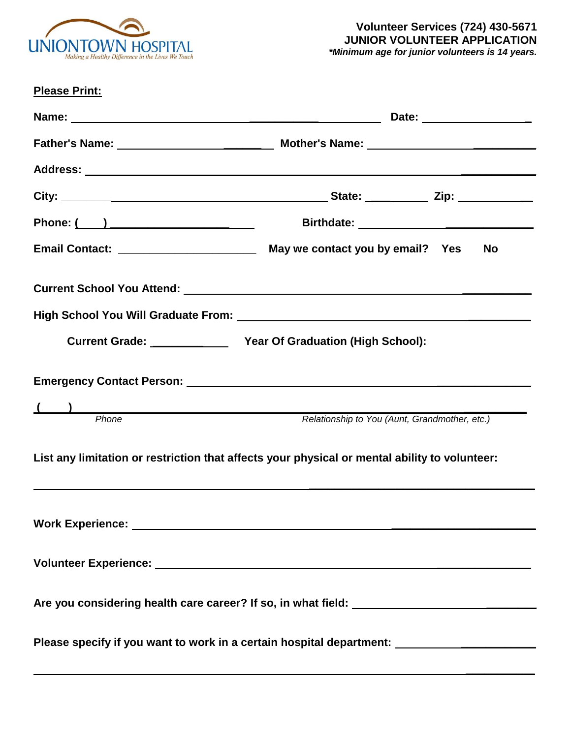

| <b>Please Print:</b> |                                                                                                               |
|----------------------|---------------------------------------------------------------------------------------------------------------|
|                      |                                                                                                               |
|                      |                                                                                                               |
|                      |                                                                                                               |
|                      |                                                                                                               |
|                      |                                                                                                               |
|                      | <b>No</b>                                                                                                     |
|                      | Current School You Attend: 2008 2009 2010 2020 2021 2022 2023 2024 2022 2023 2024 2022 2023 2024 2022 2023 20 |
|                      |                                                                                                               |
|                      |                                                                                                               |
|                      | Emergency Contact Person: National Accounts and Accounts and Accounts and Accounts and Accounts and           |
| Phone<br>Phone       | Relationship to You (Aunt, Grandmother, etc.)                                                                 |
|                      |                                                                                                               |
|                      | List any limitation or restriction that affects your physical or mental ability to volunteer:                 |
|                      |                                                                                                               |
|                      |                                                                                                               |
|                      |                                                                                                               |
|                      |                                                                                                               |
|                      | Please specify if you want to work in a certain hospital department: ___________________                      |
|                      |                                                                                                               |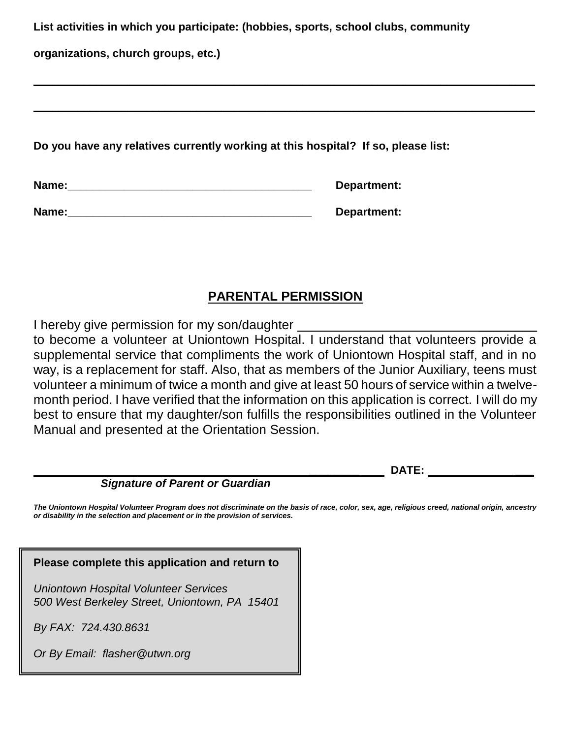**List activities in which you participate: (hobbies, sports, school clubs, community** 

**\_\_\_\_\_\_\_\_\_\_\_\_\_\_\_\_\_\_\_\_\_\_\_\_\_\_\_\_\_\_\_\_\_\_\_\_\_\_\_\_\_\_\_\_\_\_\_\_\_\_\_\_\_\_\_\_\_\_\_\_\_\_\_\_\_\_\_\_\_\_\_\_\_\_\_\_\_\_\_\_**

**\_\_\_\_\_\_\_\_\_\_\_\_\_\_\_\_\_\_\_\_\_\_\_\_\_\_\_\_\_\_\_\_\_\_\_\_\_\_\_\_\_\_\_\_\_\_\_\_\_\_\_\_\_\_\_\_\_\_\_\_\_\_\_\_\_\_\_\_\_\_\_\_\_\_\_\_\_\_\_\_**

**organizations, church groups, etc.)** 

**Do you have any relatives currently working at this hospital? If so, please list:**

| Name: | Department: |
|-------|-------------|
|       |             |

| Name: | Department: |
|-------|-------------|
|-------|-------------|

# **PARENTAL PERMISSION**

I hereby give permission for my son/daughter

to become a volunteer at Uniontown Hospital. I understand that volunteers provide a supplemental service that compliments the work of Uniontown Hospital staff, and in no way, is a replacement for staff. Also, that as members of the Junior Auxiliary, teens must volunteer a minimum of twice a month and give at least 50 hours of service within a twelvemonth period. I have verified that the information on this application is correct. I will do my best to ensure that my daughter/son fulfills the responsibilities outlined in the Volunteer Manual and presented at the Orientation Session.

 **\_\_\_\_\_\_\_\_ DATE: \_\_\_**

## *Signature of Parent or Guardian*

*The Uniontown Hospital Volunteer Program does not discriminate on the basis of race, color, sex, age, religious creed, national origin, ancestry or disability in the selection and placement or in the provision of services.*

## **Please complete this application and return to**

*Uniontown Hospital Volunteer Services 500 West Berkeley Street, Uniontown, PA 15401*

*By FAX: 724.430.8631*

*Or By Email: flasher@utwn.org*